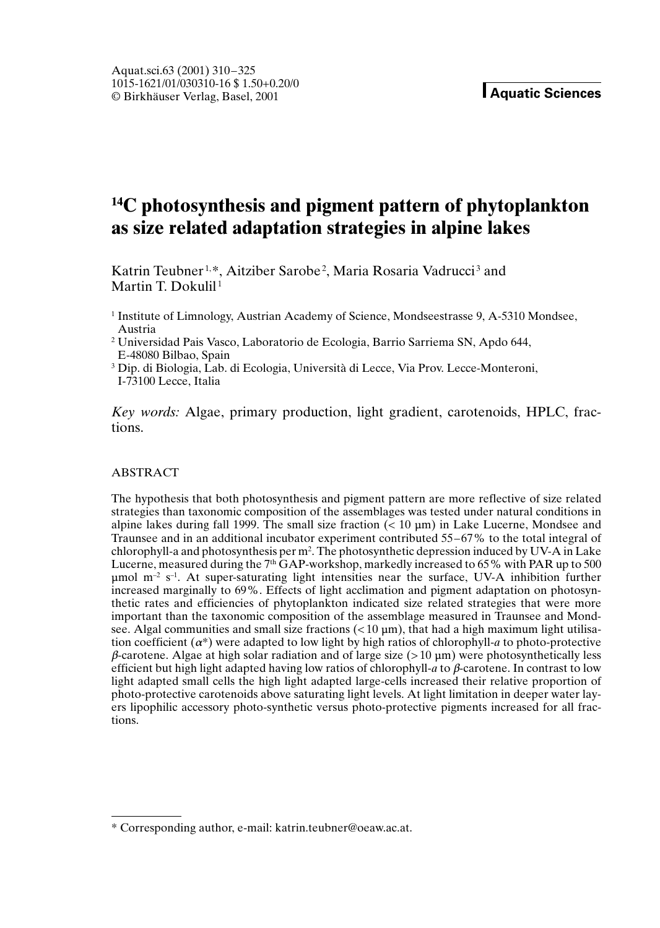# **14C photosynthesis and pigment pattern of phytoplankton as size related adaptation strategies in alpine lakes**

Katrin Teubner<sup>1,\*</sup>, Aitziber Sarobe<sup>2</sup>, Maria Rosaria Vadrucci<sup>3</sup> and Martin T. Dokulil<sup>1</sup>

<sup>1</sup> Institute of Limnology, Austrian Academy of Science, Mondseestrasse 9, A-5310 Mondsee, Austria

<sup>2</sup> Universidad Pais Vasco, Laboratorio de Ecologia, Barrio Sarriema SN, Apdo 644, E-48080 Bilbao, Spain

<sup>3</sup> Dip. di Biologia, Lab. di Ecologia, Università di Lecce, Via Prov. Lecce-Monteroni, I-73100 Lecce, Italia

*Key words:* Algae, primary production, light gradient, carotenoids, HPLC, fractions.

## ABSTRACT

The hypothesis that both photosynthesis and pigment pattern are more reflective of size related strategies than taxonomic composition of the assemblages was tested under natural conditions in alpine lakes during fall 1999. The small size fraction  $(0.10 \,\mu m)$  in Lake Lucerne, Mondsee and Traunsee and in an additional incubator experiment contributed 55–67% to the total integral of chlorophyll-a and photosynthesis per m2 . The photosynthetic depression induced by UV-A in Lake Lucerne, measured during the  $7<sup>th</sup>$  GAP-workshop, markedly increased to 65% with PAR up to 500  $\mu$ mol m<sup>-2</sup> s<sup>-1</sup>. At super-saturating light intensities near the surface, UV-A inhibition further increased marginally to 69%. Effects of light acclimation and pigment adaptation on photosynthetic rates and efficiencies of phytoplankton indicated size related strategies that were more important than the taxonomic composition of the assemblage measured in Traunsee and Mondsee. Algal communities and small size fractions  $(< 10 \,\mu m$ ), that had a high maximum light utilisation coefficient  $(a^*)$  were adapted to low light by high ratios of chlorophyll-*a* to photo-protective  $\beta$ -carotene. Algae at high solar radiation and of large size ( $> 10 \mu m$ ) were photosynthetically less efficient but high light adapted having low ratios of chlorophyll- $a$  to  $\beta$ -carotene. In contrast to low light adapted small cells the high light adapted large-cells increased their relative proportion of photo-protective carotenoids above saturating light levels. At light limitation in deeper water layers lipophilic accessory photo-synthetic versus photo-protective pigments increased for all fractions.

<sup>\*</sup> Corresponding author, e-mail: katrin.teubner@oeaw.ac.at.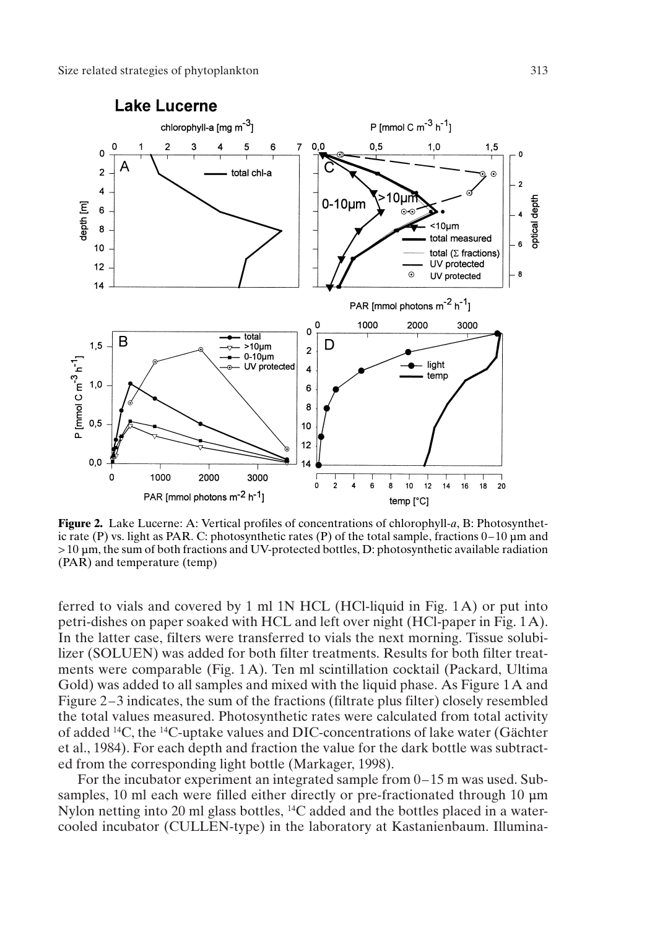

**Figure 2.** Lake Lucerne: A: Vertical profiles of concentrations of chlorophyll-*a*, B: Photosynthetic rate (P) vs. light as PAR. C: photosynthetic rates (P) of the total sample, fractions  $0-10 \mu m$  and > 10 mm, the sum of both fractions and UV-protected bottles, D: photosynthetic available radiation (PAR) and temperature (temp)

ferred to vials and covered by 1 ml 1N HCL (HCl-liquid in Fig. 1A) or put into petri-dishes on paper soaked with HCL and left over night (HCl-paper in Fig. 1A). In the latter case, filters were transferred to vials the next morning. Tissue solubilizer (SOLUEN) was added for both filter treatments. Results for both filter treatments were comparable (Fig. 1A). Ten ml scintillation cocktail (Packard, Ultima Gold) was added to all samples and mixed with the liquid phase. As Figure 1A and Figure 2–3 indicates, the sum of the fractions (filtrate plus filter) closely resembled the total values measured. Photosynthetic rates were calculated from total activity of added 14C, the 14C-uptake values and DIC-concentrations of lake water (Gächter et al., 1984). For each depth and fraction the value for the dark bottle was subtracted from the corresponding light bottle (Markager, 1998).

For the incubator experiment an integrated sample from 0–15 m was used. Subsamples, 10 ml each were filled either directly or pre-fractionated through 10  $\mu$ m Nylon netting into 20 ml glass bottles, 14C added and the bottles placed in a watercooled incubator (CULLEN-type) in the laboratory at Kastanienbaum. Illumina-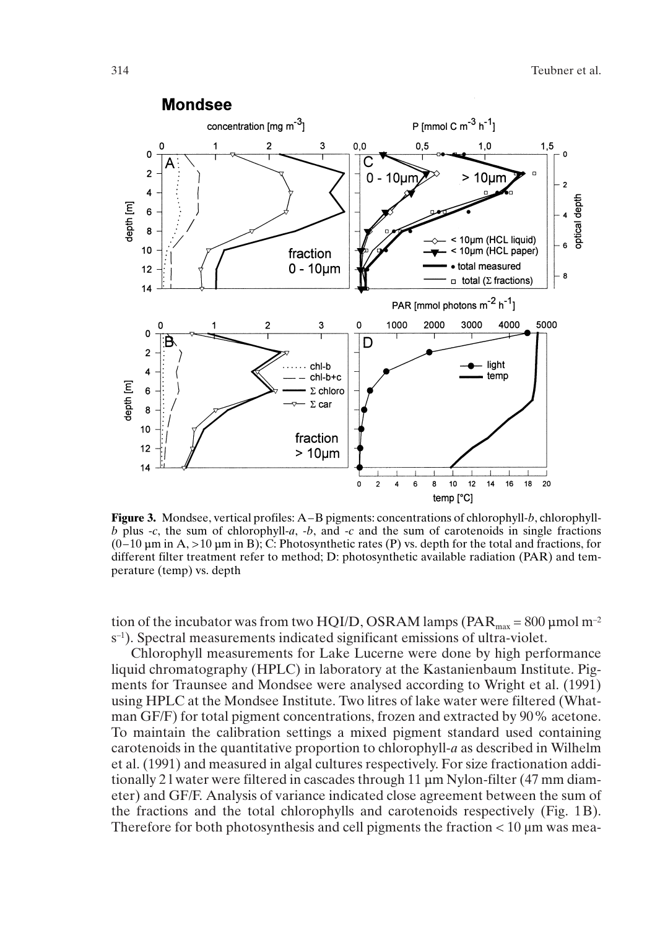

**Figure 3.** Mondsee, vertical profiles: A–B pigments: concentrations of chlorophyll-*b*, chlorophyll*b* plus -*c*, the sum of chlorophyll-*a*, -*b*, and -*c* and the sum of carotenoids in single fractions  $(0-10 \,\mu\text{m} \text{ in A}, >10 \,\mu\text{m} \text{ in B})$ ; C: Photosynthetic rates (P) vs. depth for the total and fractions, for different filter treatment refer to method; D: photosynthetic available radiation (PAR) and temperature (temp) vs. depth

tion of the incubator was from two HQI/D, OSRAM lamps ( $PAR_{\text{max}} = 800 \,\mu\text{mol m}^{-2}$ s–1). Spectral measurements indicated significant emissions of ultra-violet.

Chlorophyll measurements for Lake Lucerne were done by high performance liquid chromatography (HPLC) in laboratory at the Kastanienbaum Institute. Pigments for Traunsee and Mondsee were analysed according to Wright et al. (1991) using HPLC at the Mondsee Institute. Two litres of lake water were filtered (Whatman GF/F) for total pigment concentrations, frozen and extracted by 90% acetone. To maintain the calibration settings a mixed pigment standard used containing carotenoids in the quantitative proportion to chlorophyll-*a* as described in Wilhelm et al. (1991) and measured in algal cultures respectively. For size fractionation additionally 21 water were filtered in cascades through 11  $\mu$ m Nylon-filter (47 mm diameter) and GF/F. Analysis of variance indicated close agreement between the sum of the fractions and the total chlorophylls and carotenoids respectively (Fig. 1B). Therefore for both photosynthesis and cell pigments the fraction  $< 10 \mu m$  was mea-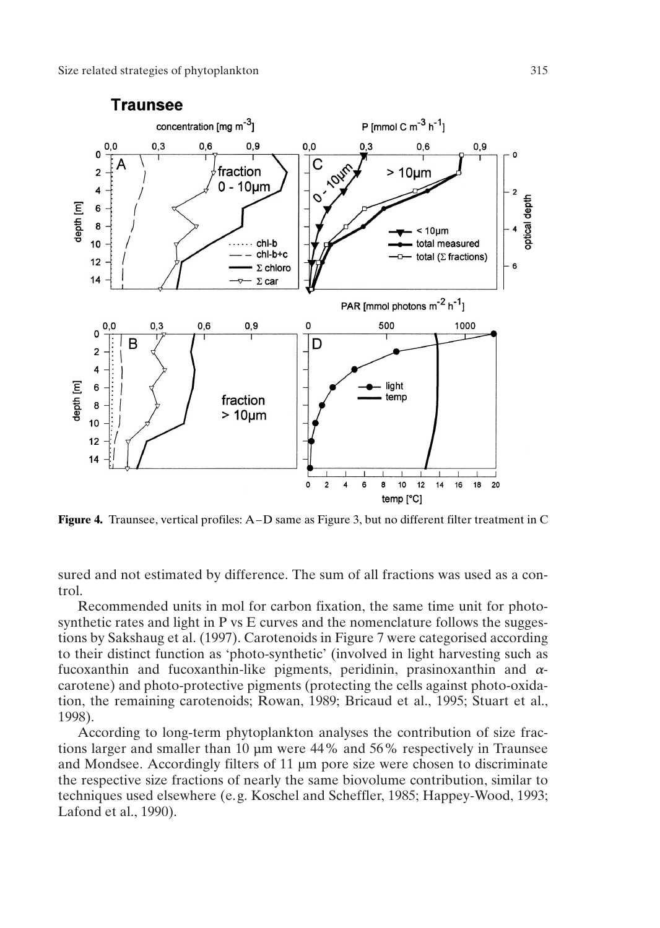

**Figure 4.** Traunsee, vertical profiles: A–D same as Figure 3, but no different filter treatment in C

sured and not estimated by difference. The sum of all fractions was used as a control.

Recommended units in mol for carbon fixation, the same time unit for photosynthetic rates and light in P vs E curves and the nomenclature follows the suggestions by Sakshaug et al. (1997). Carotenoids in Figure 7 were categorised according to their distinct function as 'photo-synthetic' (involved in light harvesting such as fucoxanthin and fucoxanthin-like pigments, peridinin, prasinoxanthin and  $\alpha$ carotene) and photo-protective pigments (protecting the cells against photo-oxidation, the remaining carotenoids; Rowan, 1989; Bricaud et al., 1995; Stuart et al., 1998).

According to long-term phytoplankton analyses the contribution of size fractions larger and smaller than 10 um were 44% and 56% respectively in Traunsee and Mondsee. Accordingly filters of 11 µm pore size were chosen to discriminate the respective size fractions of nearly the same biovolume contribution, similar to techniques used elsewhere (e.g. Koschel and Scheffler, 1985; Happey-Wood, 1993; Lafond et al., 1990).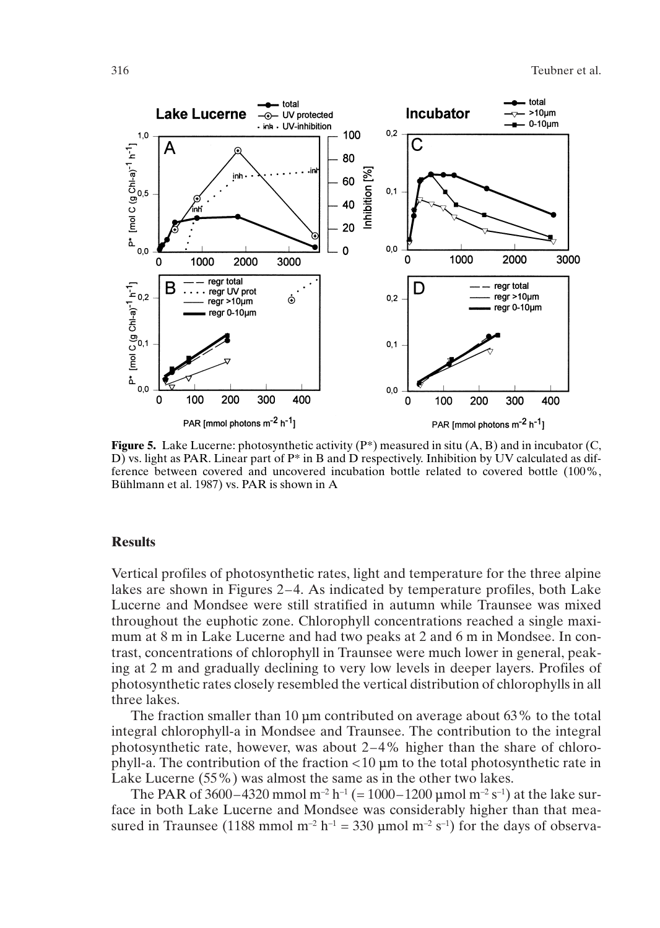

**Figure 5.** Lake Lucerne: photosynthetic activity  $(P^*)$  measured in situ  $(A, B)$  and in incubator  $(C, \mathbb{R})$ D) vs. light as PAR. Linear part of P\* in B and D respectively. Inhibition by UV calculated as difference between covered and uncovered incubation bottle related to covered bottle (100%, Bühlmann et al. 1987) vs. PAR is shown in A

## **Results**

Vertical profiles of photosynthetic rates, light and temperature for the three alpine lakes are shown in Figures 2–4. As indicated by temperature profiles, both Lake Lucerne and Mondsee were still stratified in autumn while Traunsee was mixed throughout the euphotic zone. Chlorophyll concentrations reached a single maximum at 8 m in Lake Lucerne and had two peaks at 2 and 6 m in Mondsee. In contrast, concentrations of chlorophyll in Traunsee were much lower in general, peaking at 2 m and gradually declining to very low levels in deeper layers. Profiles of photosynthetic rates closely resembled the vertical distribution of chlorophylls in all three lakes.

The fraction smaller than 10  $\mu$ m contributed on average about 63% to the total integral chlorophyll-a in Mondsee and Traunsee. The contribution to the integral photosynthetic rate, however, was about 2–4% higher than the share of chlorophyll-a. The contribution of the fraction  $\lt 10$  um to the total photosynthetic rate in Lake Lucerne (55%) was almost the same as in the other two lakes.

The PAR of 3600–4320 mmol m<sup>-2</sup> h<sup>-1</sup> (= 1000–1200 umol m<sup>-2</sup> s<sup>-1</sup>) at the lake surface in both Lake Lucerne and Mondsee was considerably higher than that measured in Traunsee (1188 mmol m<sup>-2</sup> h<sup>-1</sup> = 330 µmol m<sup>-2</sup> s<sup>-1</sup>) for the days of observa-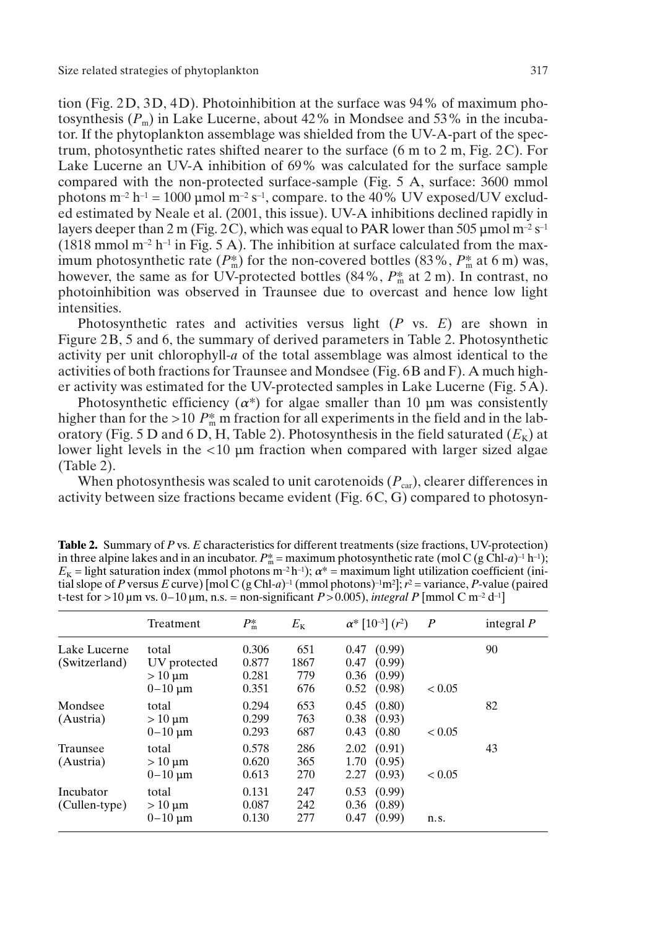tion (Fig. 2D, 3D, 4D). Photoinhibition at the surface was 94% of maximum photosynthesis  $(P_m)$  in Lake Lucerne, about 42% in Mondsee and 53% in the incubator. If the phytoplankton assemblage was shielded from the UV-A-part of the spectrum, photosynthetic rates shifted nearer to the surface (6 m to 2 m, Fig. 2C). For Lake Lucerne an UV-A inhibition of 69% was calculated for the surface sample compared with the non-protected surface-sample (Fig. 5 A, surface: 3600 mmol photons  $m^{-2} h^{-1} = 1000 \mu m$  mol  $m^{-2} s^{-1}$ , compare. to the 40% UV exposed/UV excluded estimated by Neale et al. (2001, this issue). UV-A inhibitions declined rapidly in layers deeper than 2 m (Fig. 2C), which was equal to PAR lower than 505  $\mu$ mol m<sup>-2</sup> s<sup>-1</sup> (1818 mmol  $m^{-2}$  h<sup>-1</sup> in Fig. 5 A). The inhibition at surface calculated from the maximum photosynthetic rate  $(P_m^*)$  for the non-covered bottles  $(83\%, P_m^*$  at 6 m) was, however, the same as for UV-protected bottles (84%, *P*\* <sup>m</sup> at 2 m). In contrast, no photoinhibition was observed in Traunsee due to overcast and hence low light intensities.

Photosynthetic rates and activities versus light (*P* vs. *E*) are shown in Figure 2B, 5 and 6, the summary of derived parameters in Table 2. Photosynthetic activity per unit chlorophyll-*a* of the total assemblage was almost identical to the activities of both fractions for Traunsee and Mondsee (Fig. 6B and F). A much higher activity was estimated for the UV-protected samples in Lake Lucerne (Fig. 5A).

Photosynthetic efficiency  $(\alpha^*)$  for algae smaller than 10  $\mu$ m was consistently higher than for the >10  $P_{\text{m}}^*$  m fraction for all experiments in the field and in the laboratory (Fig. 5 D and 6 D, H, Table 2). Photosynthesis in the field saturated  $(E_K)$  at lower light levels in the  $<10$   $\mu$ m fraction when compared with larger sized algae (Table 2).

When photosynthesis was scaled to unit carotenoids  $(P_{\text{car}})$ , clearer differences in activity between size fractions became evident (Fig. 6C, G) compared to photosyn-

| <b>Table 2.</b> Summary of P vs. E characteristics for different treatments (size fractions, UV-protection)                                     |
|-------------------------------------------------------------------------------------------------------------------------------------------------|
| in three alpine lakes and in an incubator. $P_{\rm m}^* =$ maximum photosynthetic rate (mol C (g Chl-a) <sup>-1</sup> h <sup>-1</sup> );        |
| $E_{\rm K}$ = light saturation index (mmol photons m <sup>-2</sup> h <sup>-1</sup> ); $\alpha^*$ = maximum light utilization coefficient (ini-  |
| tial slope of P versus E curve) [mol C (g Chl-a) <sup>-1</sup> (mmol photons) <sup>-1</sup> m <sup>2</sup> ]; $r^2$ = variance, P-value (paired |
| t-test for >10 µm vs. 0–10 µm, n.s. = non-significant P > 0.005), integral P [mmol C m <sup>-2</sup> d <sup>-1</sup> ]                          |
|                                                                                                                                                 |

|                               | Treatment                                              | $P_m^*$                          | $E_{\rm K}$               | $\alpha^*$ [10 <sup>-3</sup> ] $(r^2)$                               | $\boldsymbol{P}$ | integral $P$ |
|-------------------------------|--------------------------------------------------------|----------------------------------|---------------------------|----------------------------------------------------------------------|------------------|--------------|
| Lake Lucerne<br>(Switzerland) | total<br>UV protected<br>$>10 \mu m$<br>$0 - 10 \mu m$ | 0.306<br>0.877<br>0.281<br>0.351 | 651<br>1867<br>779<br>676 | (0.99)<br>0.47<br>(0.99)<br>0.47<br>0.36<br>(0.99)<br>(0.98)<br>0.52 | ${}_{< 0.05}$    | 90           |
| Mondsee<br>(Austria)          | total<br>$>10 \mu m$<br>$0 - 10 \mu m$                 | 0.294<br>0.299<br>0.293          | 653<br>763<br>687         | (0.80)<br>0.45<br>(0.93)<br>0.38<br>0.43<br>(0.80)                   | ${}< 0.05$       | 82           |
| Traunsee<br>(Austria)         | total<br>$>10 \mu m$<br>$0 - 10 \mu m$                 | 0.578<br>0.620<br>0.613          | 286<br>365<br>270         | (0.91)<br>2.02<br>(0.95)<br>1.70<br>(0.93)<br>2.27                   | ${}< 0.05$       | 43           |
| Incubator<br>(Cullen-type)    | total<br>$>10 \mu m$<br>$0 - 10 \mu m$                 | 0.131<br>0.087<br>0.130          | 247<br>242<br>277         | 0.53<br>(0.99)<br>(0.89)<br>0.36<br>0.47<br>(0.99)                   | n.s.             |              |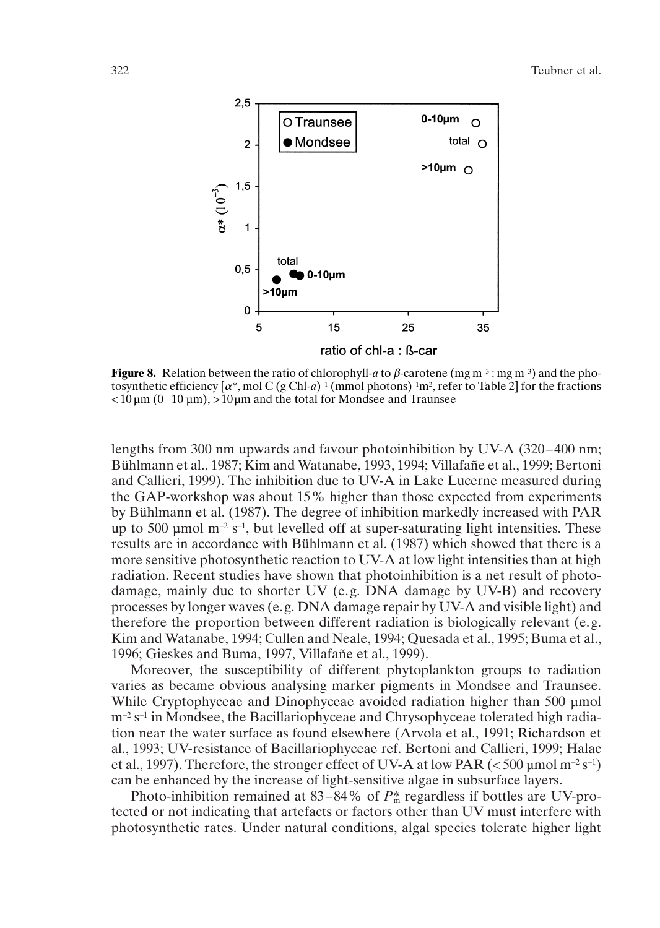

**Figure 8.** Relation between the ratio of chlorophyll-*a* to *β*-carotene (mg m<sup>-3</sup>; mg m<sup>-3</sup>) and the photosynthetic efficiency  $[\alpha^*$ , mol C (g Chl-*a*)<sup>-1</sup> (mmol photons)<sup>-1</sup>m<sup>2</sup>, refer to Table 2] for the fractions  $<$  10 um (0–10 um),  $>10$  um and the total for Mondsee and Traunsee

lengths from 300 nm upwards and favour photoinhibition by UV-A (320–400 nm; Bühlmann et al., 1987; Kim and Watanabe, 1993, 1994; Villafañe et al., 1999; Bertoni and Callieri, 1999). The inhibition due to UV-A in Lake Lucerne measured during the GAP-workshop was about 15% higher than those expected from experiments by Bühlmann et al. (1987). The degree of inhibition markedly increased with PAR up to 500 µmol  $m^{-2}$  s<sup>-1</sup>, but levelled off at super-saturating light intensities. These results are in accordance with Bühlmann et al. (1987) which showed that there is a more sensitive photosynthetic reaction to UV-A at low light intensities than at high radiation. Recent studies have shown that photoinhibition is a net result of photodamage, mainly due to shorter UV (e.g. DNA damage by UV-B) and recovery processes by longer waves (e.g. DNA damage repair by UV-A and visible light) and therefore the proportion between different radiation is biologically relevant (e.g. Kim and Watanabe, 1994; Cullen and Neale, 1994; Quesada et al., 1995; Buma et al., 1996; Gieskes and Buma, 1997, Villafañe et al., 1999).

Moreover, the susceptibility of different phytoplankton groups to radiation varies as became obvious analysing marker pigments in Mondsee and Traunsee. While Cryptophyceae and Dinophyceae avoided radiation higher than 500 µmol  $m^{-2}$  s<sup>-1</sup> in Mondsee, the Bacillariophyceae and Chrysophyceae tolerated high radiation near the water surface as found elsewhere (Arvola et al., 1991; Richardson et al., 1993; UV-resistance of Bacillariophyceae ref. Bertoni and Callieri, 1999; Halac et al., 1997). Therefore, the stronger effect of UV-A at low PAR ( $\lt$  500 µmol m<sup>-2</sup> s<sup>-1</sup>) can be enhanced by the increase of light-sensitive algae in subsurface layers.

Photo-inhibition remained at 83–84% of  $P_{\text{m}}^*$  regardless if bottles are UV-protected or not indicating that artefacts or factors other than UV must interfere with photosynthetic rates. Under natural conditions, algal species tolerate higher light